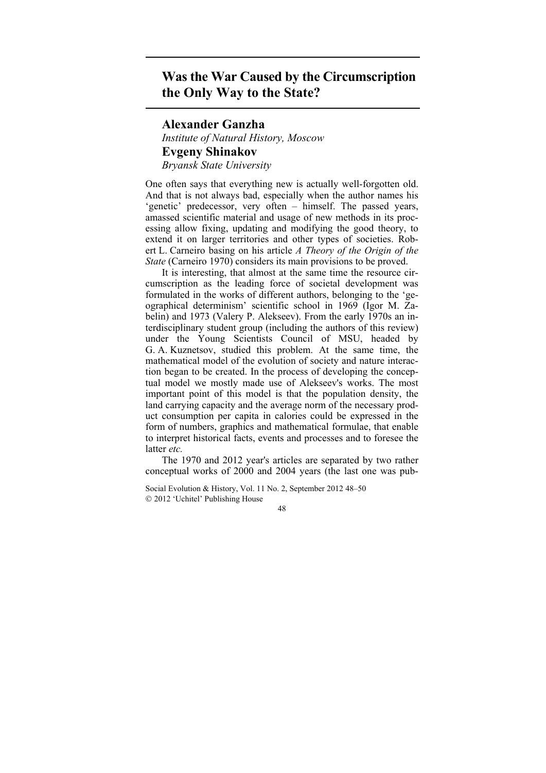## **Was the War Caused by the Circumscription the Only Way to the State?**

## **Alexander Ganzha**

*Institute of Natural History, Moscow*  **Evgeny Shinakov**  *Bryansk State University* 

One often says that everything new is actually well-forgotten old. And that is not always bad, especially when the author names his 'genetic' predecessor, very often – himself. The passed years, amassed scientific material and usage of new methods in its processing allow fixing, updating and modifying the good theory, to extend it on larger territories and other types of societies. Robert L. Carneiro basing on his article *A Theory of the Origin of the State* (Carneiro 1970) considers its main provisions to be proved.

It is interesting, that almost at the same time the resource circumscription as the leading force of societal development was formulated in the works of different authors, belonging to the 'geographical determinism' scientific school in 1969 (Igor M. Zabelin) and 1973 (Valery P. Alekseev). From the early 1970s an interdisciplinary student group (including the authors of this review) under the Young Scientists Council of MSU, headed by G. A. Kuznetsov, studied this problem. At the same time, the mathematical model of the evolution of society and nature interaction began to be created. In the process of developing the conceptual model we mostly made use of Alekseev's works. The most important point of this model is that the population density, the land carrying capacity and the average norm of the necessary product consumption per capita in calories could be expressed in the form of numbers, graphics and mathematical formulae, that enable to interpret historical facts, events and processes and to foresee the latter *etc.*

The 1970 and 2012 year's articles are separated by two rather conceptual works of 2000 and 2004 years (the last one was pub-

Social Evolution & History, Vol. 11 No. 2, September 2012 48–50 2012 'Uchitel' Publishing House

48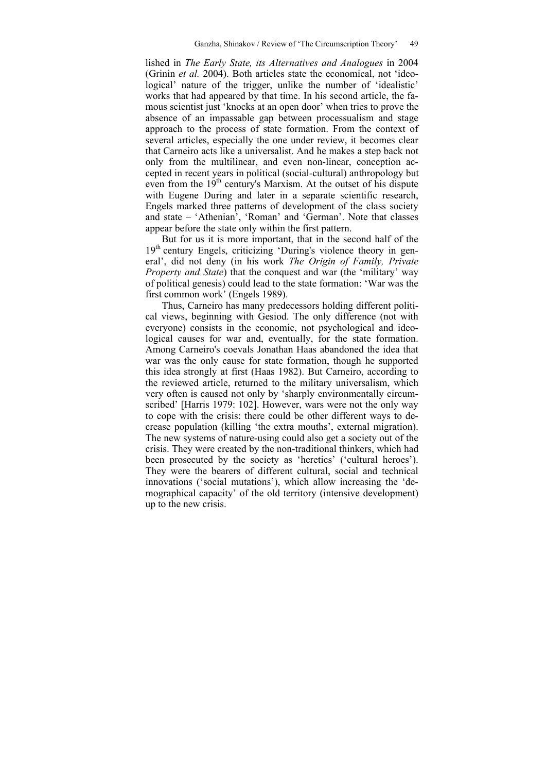lished in *The Early State, its Alternatives and Analogues* in 2004 (Grinin *et al.* 2004). Both articles state the economical, not 'ideological' nature of the trigger, unlike the number of 'idealistic' works that had appeared by that time. In his second article, the famous scientist just 'knocks at an open door' when tries to prove the absence of an impassable gap between processualism and stage approach to the process of state formation. From the context of several articles, especially the one under review, it becomes clear that Carneiro acts like a universalist. And he makes a step back not only from the multilinear, and even non-linear, conception accepted in recent years in political (social-cultural) anthropology but even from the  $19<sup>th</sup>$  century's Marxism. At the outset of his dispute with Eugene During and later in a separate scientific research, Engels marked three patterns of development of the class society and state – 'Athenian', 'Roman' and 'German'. Note that classes appear before the state only within the first pattern.

But for us it is more important, that in the second half of the 19<sup>th</sup> century Engels, criticizing 'During's violence theory in general', did not deny (in his work *The Origin of Family, Private Property and State*) that the conquest and war (the 'military' way of political genesis) could lead to the state formation: 'War was the first common work' (Engels 1989).

Thus, Carneiro has many predecessors holding different political views, beginning with Gesiod. The only difference (not with everyone) consists in the economic, not psychological and ideological causes for war and, eventually, for the state formation. Among Carneiro's coevals Jonathan Haas abandoned the idea that war was the only cause for state formation, though he supported this idea strongly at first (Haas 1982). But Carneiro, according to the reviewed article, returned to the military universalism, which very often is caused not only by 'sharply environmentally circumscribed' [Harris 1979: 102]. However, wars were not the only way to cope with the crisis: there could be other different ways to decrease population (killing 'the extra mouths', external migration). The new systems of nature-using could also get a society out of the crisis. They were created by the non-traditional thinkers, which had been prosecuted by the society as 'heretics' ('cultural heroes'). They were the bearers of different cultural, social and technical innovations ('social mutations'), which allow increasing the 'demographical capacity' of the old territory (intensive development) up to the new crisis.